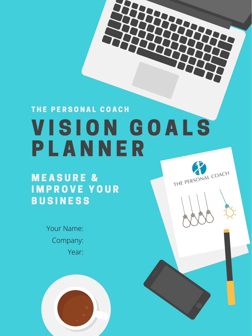# VISION GOALS P L A N N E R THE PERSONAL COACH





## MEASURE & I M P R O V E Y O U R B U S I N E S S

Company: Year: Your Name:

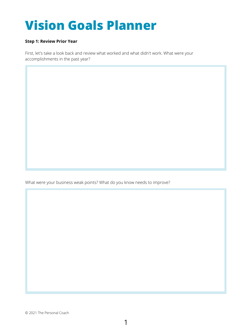#### **Step 1: Review Prior Year**

First, let's take a look back and review what worked and what didn't work. What were your accomplishments in the past year?

## **Vision Goals Planner**

1

© 2021 The Personal Coach

What were your business weak points? What do you know needs to improve?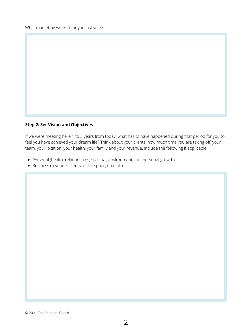What marketing worked for you last year?

© 2021 The Personal Coach

- Personal (health, relationships, spiritual, environment, fun, personal growth)
- Business (revenue, clients, office space, time off)

#### **Step 2: Set Vision and Objectives**

If we were meeting here 1 to 3 years from today, what has to have happened during that period for you to feel you have achieved your dream life? Think about your clients, how much time you are taking off, your team, your location, your health, your family and your revenue. Include the following if applicable: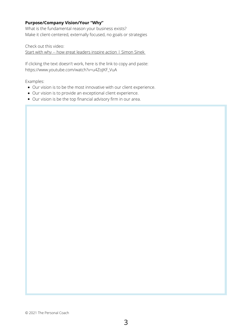- Our vision is to be the most innovative with our client experience.
- Our vision is to provide an exceptional client experience.
- Our vision is be the top financial advisory firm in our area.

Check out this video: Start with why -- how great [leaders](https://www.youtube.com/watch?v=u4ZoJKF_VuA) inspire action | Simon Sine[k](https://www.youtube.com/watch?v=u4ZoJKF_VuA)

#### **Purpose/Company Vision/Your "Why"**

What is the fundamental reason your business exists? Make it client-centered, externally focused, no goals or strategies

If clicking the text doesn't work, here is the link to copy and paste: https://www.youtube.com/watch?v=u4ZoJKF\_VuA

Examples:

© 2021 The Personal Coach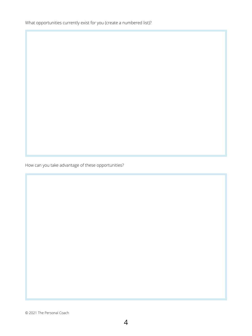What opportunities currently exist for you (create a numbered list)?

© 2021 The Personal Coach

How can you take advantage of these opportunities?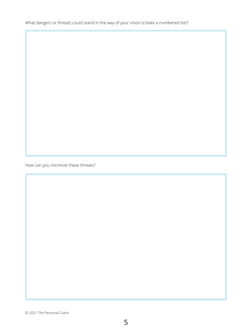What dangers or threats could stand in the way of your vision (create a numbered list)?

© 2021 The Personal Coach

How can you minimize these threats?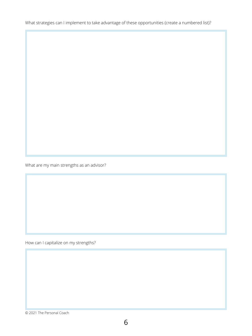What strategies can I implement to take advantage of these opportunities (create a numbered list)?

© 2021 The Personal Coach

What are my main strengths as an advisor?

How can I capitalize on my strengths?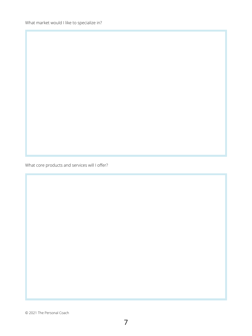What market would I like to specialize in?

What core products and services will I offer?

7

© 2021 The Personal Coach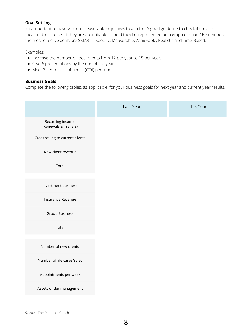- $\bullet$  Increase the number of ideal clients from 12 per year to 15 per year.
- Give 6 presentations by the end of the year.
- Meet 3 centres of influence (COI) per month.

#### **Goal Setting**

It is important to have written, measurable objectives to aim for. A good guideline to check if they are measurable is to see if they are quantifiable – could they be represented on a graph or chart? Remember, the most effective goals are SMART – Specific, Measurable, Achievable, Realistic and Time-Based.

#### Examples:

#### **Business Goals**

Complete the following tables, as applicable, for your business goals for next year and current year results.

© 2021 The Personal Coach

|                                           | Last Year | This Year |
|-------------------------------------------|-----------|-----------|
| Recurring income<br>(Renewals & Trailers) |           |           |
| Cross selling to current clients          |           |           |
| New client revenue                        |           |           |
| <b>Total</b>                              |           |           |

| Investment business        |  |  |
|----------------------------|--|--|
| Insurance Revenue          |  |  |
| <b>Group Business</b>      |  |  |
| Total                      |  |  |
|                            |  |  |
| Number of new clients      |  |  |
| Number of life cases/sales |  |  |
| Appointments per week      |  |  |
| Assets under management    |  |  |